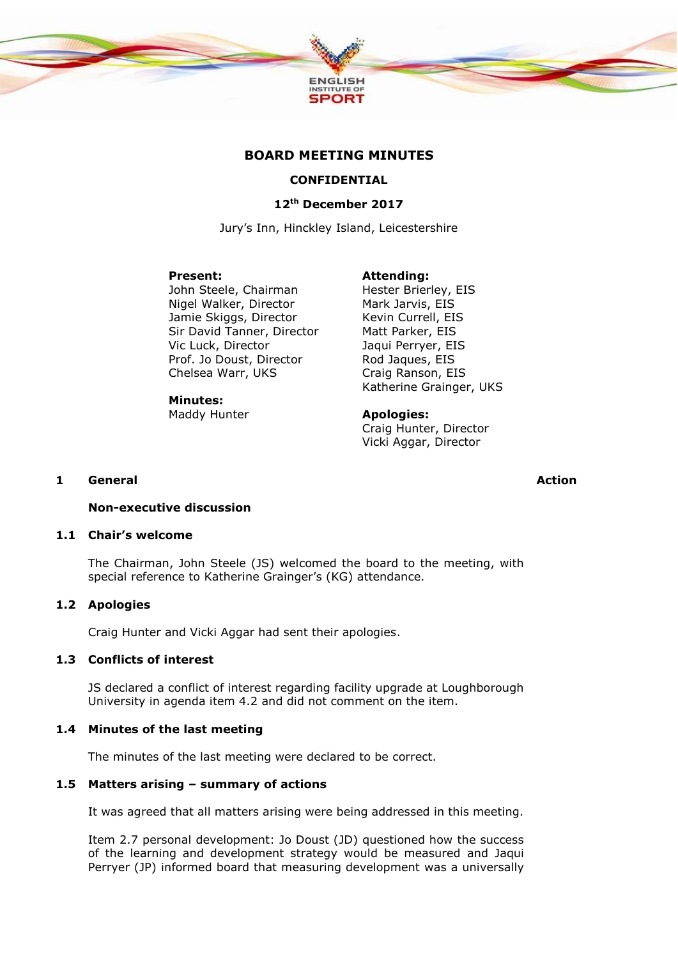

# **BOARD MEETING MINUTES**

# **CONFIDENTIAL**

# **12th December 2017**

Jury's Inn, Hinckley Island, Leicestershire

#### **Present:**

John Steele, Chairman Nigel Walker, Director Jamie Skiggs, Director Sir David Tanner, Director Vic Luck, Director Prof. Jo Doust, Director Chelsea Warr, UKS

# **Minutes:**

Maddy Hunter

**Attending:** Hester Brierley, EIS Mark Jarvis, EIS Kevin Currell, EIS Matt Parker, EIS Jaqui Perryer, EIS Rod Jaques, EIS Craig Ranson, EIS Katherine Grainger, UKS

**Apologies:** Craig Hunter, Director Vicki Aggar, Director

#### **1 General**

**Action**

#### **Non-executive discussion**

### **1.1 Chair's welcome**

The Chairman, John Steele (JS) welcomed the board to the meeting, with special reference to Katherine Grainger's (KG) attendance.

# **1.2 Apologies**

Craig Hunter and Vicki Aggar had sent their apologies.

# **1.3 Conflicts of interest**

JS declared a conflict of interest regarding facility upgrade at Loughborough University in agenda item 4.2 and did not comment on the item.

### **1.4 Minutes of the last meeting**

The minutes of the last meeting were declared to be correct.

### **1.5 Matters arising – summary of actions**

It was agreed that all matters arising were being addressed in this meeting.

Item 2.7 personal development: Jo Doust (JD) questioned how the success of the learning and development strategy would be measured and Jaqui Perryer (JP) informed board that measuring development was a universally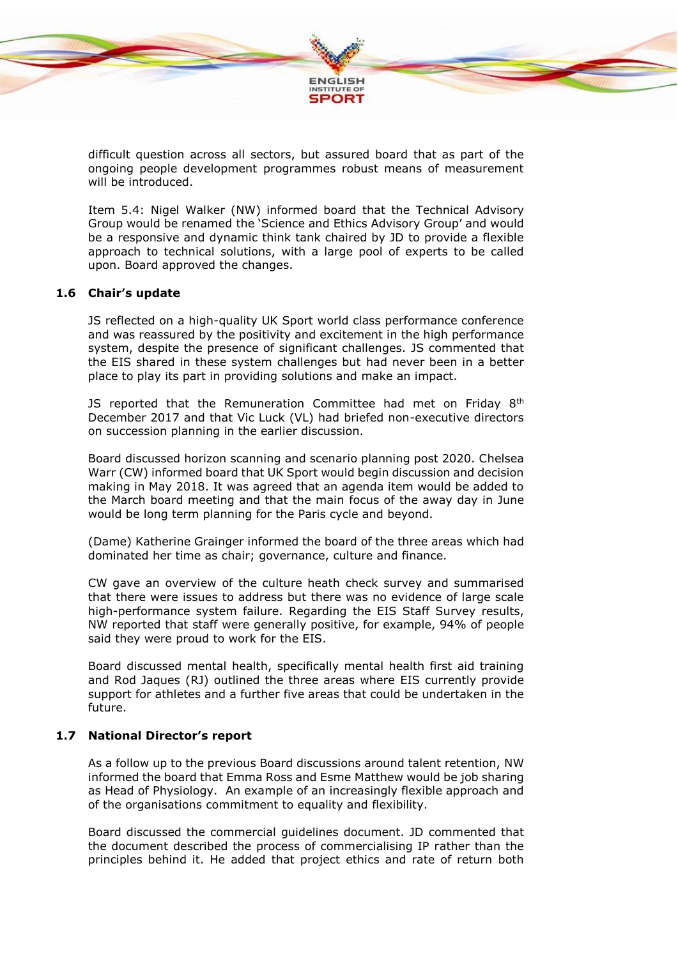

difficult question across all sectors, but assured board that as part of the ongoing people development programmes robust means of measurement will be introduced.

Item 5.4: Nigel Walker (NW) informed board that the Technical Advisory Group would be renamed the 'Science and Ethics Advisory Group' and would be a responsive and dynamic think tank chaired by JD to provide a flexible approach to technical solutions, with a large pool of experts to be called upon. Board approved the changes.

# **1.6 Chair's update**

JS reflected on a high-quality UK Sport world class performance conference and was reassured by the positivity and excitement in the high performance system, despite the presence of significant challenges. JS commented that the EIS shared in these system challenges but had never been in a better place to play its part in providing solutions and make an impact.

JS reported that the Remuneration Committee had met on Friday 8<sup>th</sup> December 2017 and that Vic Luck (VL) had briefed non-executive directors on succession planning in the earlier discussion.

Board discussed horizon scanning and scenario planning post 2020. Chelsea Warr (CW) informed board that UK Sport would begin discussion and decision making in May 2018. It was agreed that an agenda item would be added to the March board meeting and that the main focus of the away day in June would be long term planning for the Paris cycle and beyond.

(Dame) Katherine Grainger informed the board of the three areas which had dominated her time as chair; governance, culture and finance.

CW gave an overview of the culture heath check survey and summarised that there were issues to address but there was no evidence of large scale high-performance system failure. Regarding the EIS Staff Survey results, NW reported that staff were generally positive, for example, 94% of people said they were proud to work for the EIS.

Board discussed mental health, specifically mental health first aid training and Rod Jaques (RJ) outlined the three areas where EIS currently provide support for athletes and a further five areas that could be undertaken in the future.

# **1.7 National Director's report**

As a follow up to the previous Board discussions around talent retention, NW informed the board that Emma Ross and Esme Matthew would be job sharing as Head of Physiology. An example of an increasingly flexible approach and of the organisations commitment to equality and flexibility.

Board discussed the commercial guidelines document. JD commented that the document described the process of commercialising IP rather than the principles behind it. He added that project ethics and rate of return both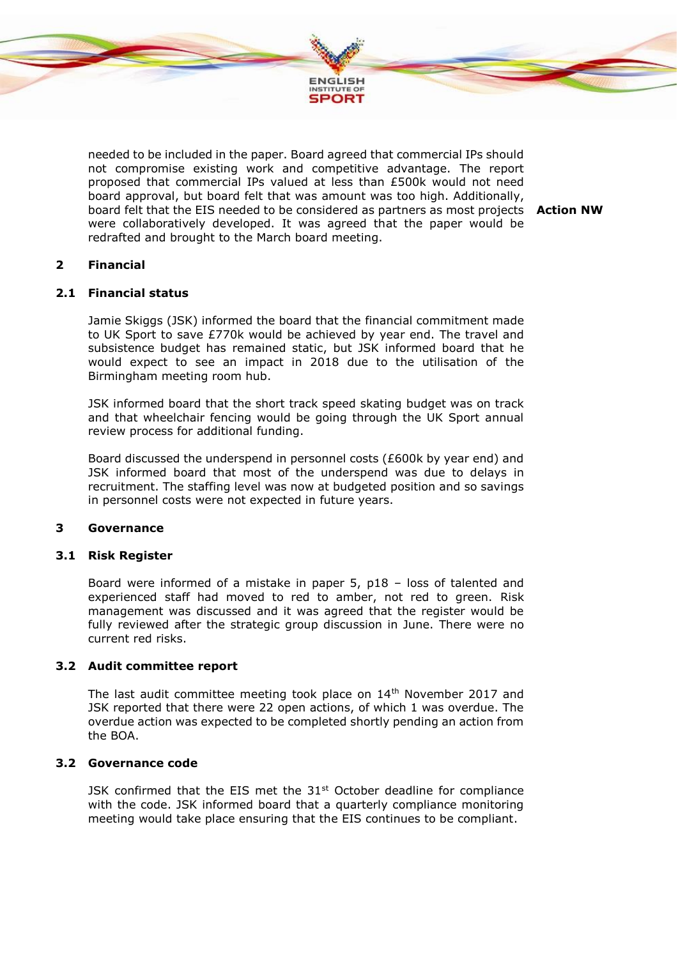

needed to be included in the paper. Board agreed that commercial IPs should not compromise existing work and competitive advantage. The report proposed that commercial IPs valued at less than £500k would not need board approval, but board felt that was amount was too high. Additionally, board felt that the EIS needed to be considered as partners as most projects **Action NW** were collaboratively developed. It was agreed that the paper would be redrafted and brought to the March board meeting.

# **2 Financial**

### **2.1 Financial status**

Jamie Skiggs (JSK) informed the board that the financial commitment made to UK Sport to save £770k would be achieved by year end. The travel and subsistence budget has remained static, but JSK informed board that he would expect to see an impact in 2018 due to the utilisation of the Birmingham meeting room hub.

JSK informed board that the short track speed skating budget was on track and that wheelchair fencing would be going through the UK Sport annual review process for additional funding.

Board discussed the underspend in personnel costs (£600k by year end) and JSK informed board that most of the underspend was due to delays in recruitment. The staffing level was now at budgeted position and so savings in personnel costs were not expected in future years.

# **3 Governance**

#### **3.1 Risk Register**

Board were informed of a mistake in paper 5, p18 – loss of talented and experienced staff had moved to red to amber, not red to green. Risk management was discussed and it was agreed that the register would be fully reviewed after the strategic group discussion in June. There were no current red risks.

#### **3.2 Audit committee report**

The last audit committee meeting took place on  $14<sup>th</sup>$  November 2017 and JSK reported that there were 22 open actions, of which 1 was overdue. The overdue action was expected to be completed shortly pending an action from the BOA.

#### **3.2 Governance code**

JSK confirmed that the EIS met the  $31<sup>st</sup>$  October deadline for compliance with the code. JSK informed board that a quarterly compliance monitoring meeting would take place ensuring that the EIS continues to be compliant.